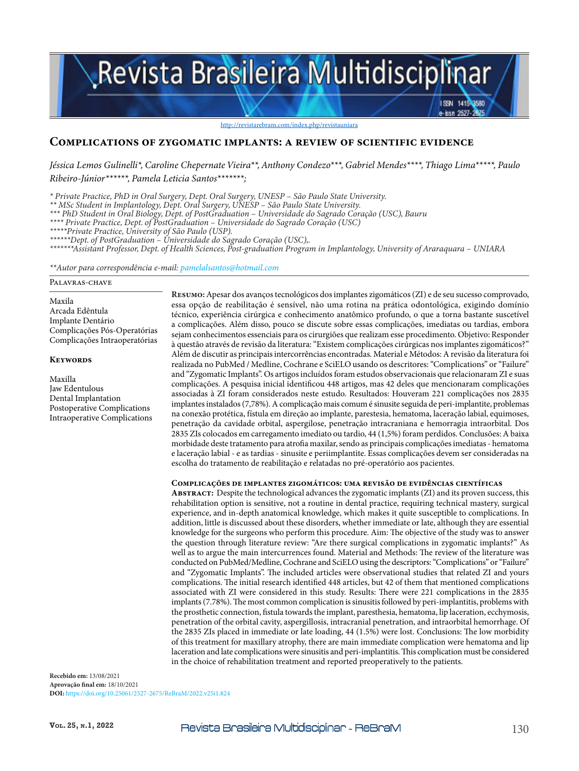# Revista Brasileira Multidisciplinar

http://revistarebram.com/index.php/revistauniara

#### **Complications of zygomatic implants: a review of scientific evidence**

*Jéssica Lemos Gulinelli\*, Caroline Chepernate Vieira\*\*, Anthony Condezo\*\*\*, Gabriel Mendes\*\*\*\*, Thiago Lima\*\*\*\*\*, Paulo Ribeiro-Júnior\*\*\*\*\*\*, Pamela Leticia Santos\*\*\*\*\*\*\*;*

*\* Private Practice, PhD in Oral Surgery, Dept. Oral Surgery, UNESP – São Paulo State University.*

*\*\* MSc Student in Implantology, Dept. Oral Surgery, UNESP – São Paulo State University.*

*\*\*\* PhD Student in Oral Biology, Dept. of PostGraduation – Universidade do Sagrado Coração (USC), Bauru*

*\*\*\*\* Private Practice, Dept. of PostGraduation – Universidade do Sagrado Coração (USC)*

*\*\*\*\*\*Private Practice, University of São Paulo (USP).*

*\*\*\*\*\*\*Dept. of PostGraduation – Universidade do Sagrado Coração (USC),.*

*\*\*\*\*\*\*\*Assistant Professor, Dept. of Health Sciences, Post-graduation Program in Implantology, University of Araraquara – UNIARA*

*\*\*Autor para correspondência e-mail: pamelalsantos@hotmail.com*

#### Palavras-chave

Maxila Arcada Edêntula Implante Dentário Complicações Pós-Operatórias Complicações Intraoperatórias

#### **Keywords**

Maxilla Jaw Edentulous Dental Implantation Postoperative Complications Intraoperative Complications **Resumo:** Apesar dos avanços tecnológicos dos implantes zigomáticos (ZI) e de seu sucesso comprovado, essa opção de reabilitação é sensível, não uma rotina na prática odontológica, exigindo domínio técnico, experiência cirúrgica e conhecimento anatômico profundo, o que a torna bastante suscetível a complicações. Além disso, pouco se discute sobre essas complicações, imediatas ou tardias, embora sejam conhecimentos essenciais para os cirurgiões que realizam esse procedimento. Objetivo: Responder à questão através de revisão da literatura: "Existem complicações cirúrgicas nos implantes zigomáticos?" Além de discutir as principais intercorrências encontradas. Material e Métodos: A revisão da literatura foi realizada no PubMed / Medline, Cochrane e SciELO usando os descritores: "Complications" or "Failure" and "Zygomatic Implants". Os artigos incluídos foram estudos observacionais que relacionaram ZI e suas complicações. A pesquisa inicial identificou 448 artigos, mas 42 deles que mencionaram complicações associadas à ZI foram considerados neste estudo. Resultados: Houveram 221 complicações nos 2835 implantes instalados (7,78%). A complicação mais comum é sinusite seguida de peri-implantite, problemas na conexão protética, fístula em direção ao implante, parestesia, hematoma, laceração labial, equimoses, penetração da cavidade orbital, aspergilose, penetração intracraniana e hemorragia intraorbital. Dos 2835 ZIs colocados em carregamento imediato ou tardio, 44 (1,5%) foram perdidos. Conclusões: A baixa morbidade deste tratamento para atrofia maxilar, sendo as principais complicações imediatas - hematoma e laceração labial - e as tardias - sinusite e periimplantite. Essas complicações devem ser consideradas na escolha do tratamento de reabilitação e relatadas no pré-operatório aos pacientes.

ISBN 1419-8580 isa 2527.

#### **Complicações de implantes zigomáticos: uma revisão de evidências científicas**

**Abstract:** Despite the technological advances the zygomatic implants (ZI) and its proven success, this rehabilitation option is sensitive, not a routine in dental practice, requiring technical mastery, surgical experience, and in-depth anatomical knowledge, which makes it quite susceptible to complications. In addition, little is discussed about these disorders, whether immediate or late, although they are essential knowledge for the surgeons who perform this procedure. Aim: The objective of the study was to answer the question through literature review: "Are there surgical complications in zygomatic implants?" As well as to argue the main intercurrences found. Material and Methods: The review of the literature was conducted on PubMed/Medline, Cochrane and SciELO using the descriptors: "Complications" or "Failure" and "Zygomatic Implants". The included articles were observational studies that related ZI and yours complications. The initial research identified 448 articles, but 42 of them that mentioned complications associated with ZI were considered in this study. Results: There were 221 complications in the 2835 implants (7.78%). The most common complication is sinusitis followed by peri-implantitis, problems with the prosthetic connection, fistula towards the implant, paresthesia, hematoma, lip laceration, ecchymosis, penetration of the orbital cavity, aspergillosis, intracranial penetration, and intraorbital hemorrhage. Of the 2835 ZIs placed in immediate or late loading, 44 (1.5%) were lost. Conclusions: The low morbidity of this treatment for maxillary atrophy, there are main immediate complication were hematoma and lip laceration and late complications were sinusitis and peri-implantitis. This complication must be considered in the choice of rehabilitation treatment and reported preoperatively to the patients.

**Recebido em:** 13/08/2021 **Aprovação final em:** 18/10/2021 **DOI:** https://doi.org/10.25061/2527-2675/ReBraM/2022.v25i1.824

Vol. 25, N.1, 2022 **Revista Brasileira Multidisciplinar** - ReBraM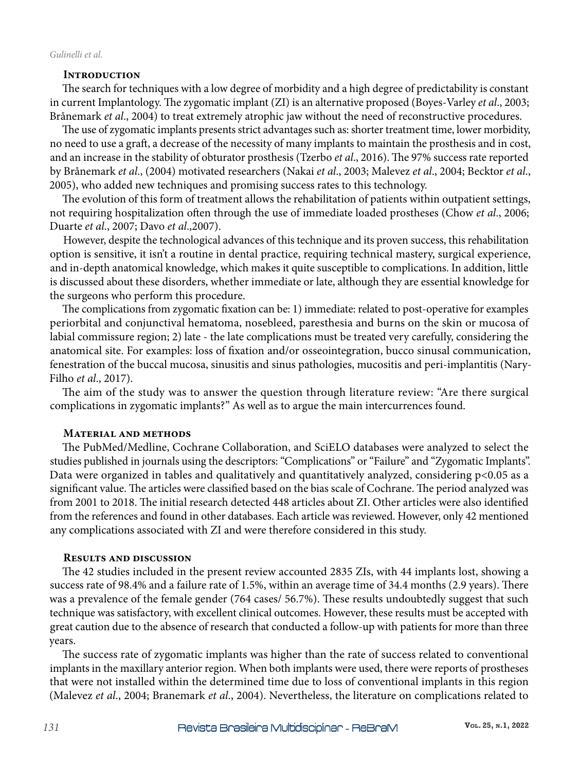## **Introduction**

The search for techniques with a low degree of morbidity and a high degree of predictability is constant in current Implantology. The zygomatic implant (ZI) is an alternative proposed (Boyes-Varley *et al*., 2003; Brånemark *et al*., 2004) to treat extremely atrophic jaw without the need of reconstructive procedures.

The use of zygomatic implants presents strict advantages such as: shorter treatment time, lower morbidity, no need to use a graft, a decrease of the necessity of many implants to maintain the prosthesis and in cost, and an increase in the stability of obturator prosthesis (Tzerbo *et al*., 2016). The 97% success rate reported by Brånemark *et al*., (2004) motivated researchers (Nakai *et al*., 2003; Malevez *et al*., 2004; Becktor *et al*., 2005), who added new techniques and promising success rates to this technology.

The evolution of this form of treatment allows the rehabilitation of patients within outpatient settings, not requiring hospitalization often through the use of immediate loaded prostheses (Chow *et al*., 2006; Duarte *et al*., 2007; Davo *et al*.,2007).

However, despite the technological advances of this technique and its proven success, this rehabilitation option is sensitive, it isn't a routine in dental practice, requiring technical mastery, surgical experience, and in-depth anatomical knowledge, which makes it quite susceptible to complications. In addition, little is discussed about these disorders, whether immediate or late, although they are essential knowledge for the surgeons who perform this procedure.

The complications from zygomatic fixation can be: 1) immediate: related to post-operative for examples periorbital and conjunctival hematoma, nosebleed, paresthesia and burns on the skin or mucosa of labial commissure region; 2) late - the late complications must be treated very carefully, considering the anatomical site. For examples: loss of fixation and/or osseointegration, bucco sinusal communication, fenestration of the buccal mucosa, sinusitis and sinus pathologies, mucositis and peri-implantitis (Nary-Filho *et al*., 2017).

The aim of the study was to answer the question through literature review: "Are there surgical complications in zygomatic implants?" As well as to argue the main intercurrences found.

#### **Material and methods**

The PubMed/Medline, Cochrane Collaboration, and SciELO databases were analyzed to select the studies published in journals using the descriptors: "Complications" or "Failure" and "Zygomatic Implants". Data were organized in tables and qualitatively and quantitatively analyzed, considering p<0.05 as a significant value. The articles were classified based on the bias scale of Cochrane. The period analyzed was from 2001 to 2018. The initial research detected 448 articles about ZI. Other articles were also identified from the references and found in other databases. Each article was reviewed. However, only 42 mentioned any complications associated with ZI and were therefore considered in this study.

#### **Results and discussion**

The 42 studies included in the present review accounted 2835 ZIs, with 44 implants lost, showing a success rate of 98.4% and a failure rate of 1.5%, within an average time of 34.4 months (2.9 years). There was a prevalence of the female gender (764 cases/ 56.7%). These results undoubtedly suggest that such technique was satisfactory, with excellent clinical outcomes. However, these results must be accepted with great caution due to the absence of research that conducted a follow-up with patients for more than three years.

The success rate of zygomatic implants was higher than the rate of success related to conventional implants in the maxillary anterior region. When both implants were used, there were reports of prostheses that were not installed within the determined time due to loss of conventional implants in this region (Malevez *et al*., 2004; Branemark *et al*., 2004). Nevertheless, the literature on complications related to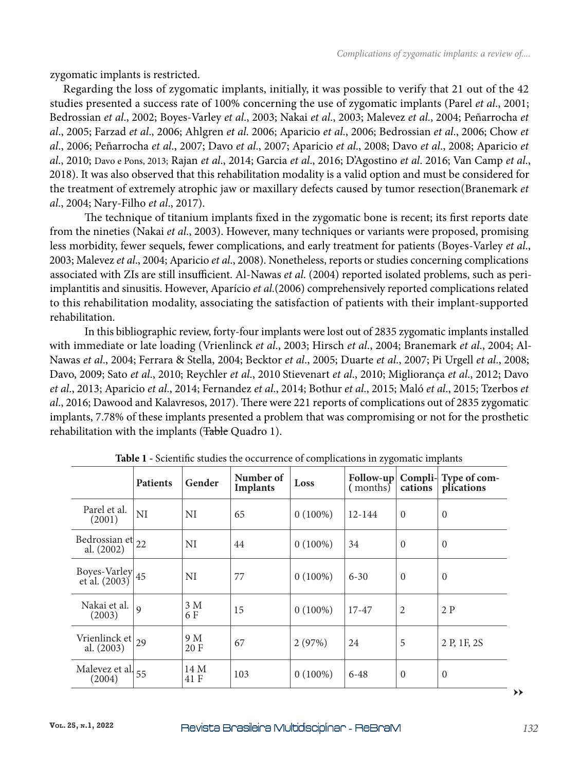zygomatic implants is restricted.

Regarding the loss of zygomatic implants, initially, it was possible to verify that 21 out of the 42 studies presented a success rate of 100% concerning the use of zygomatic implants (Parel *et al*., 2001; Bedrossian *et al*., 2002; Boyes-Varley *et al*., 2003; Nakai *et al*., 2003; Malevez *et al*., 2004; Peñarrocha *et al*., 2005; Farzad *et al*., 2006; Ahlgren *et al*. 2006; Aparicio *et al*., 2006; Bedrossian *et al*., 2006; Chow *et al*., 2006; Peñarrocha *et al*., 2007; Davo *et al*., 2007; Aparicio *et al*., 2008; Davo *et al*., 2008; Aparicio *et al*., 2010; Davo e Pons, 2013; Rajan *et al*., 2014; Garcia *et al*., 2016; D'Agostino *et al*. 2016; Van Camp *et al*., 2018). It was also observed that this rehabilitation modality is a valid option and must be considered for the treatment of extremely atrophic jaw or maxillary defects caused by tumor resection(Branemark *et al*., 2004; Nary-Filho *et al*., 2017).

The technique of titanium implants fixed in the zygomatic bone is recent; its first reports date from the nineties (Nakai *et al*., 2003). However, many techniques or variants were proposed, promising less morbidity, fewer sequels, fewer complications, and early treatment for patients (Boyes-Varley *et al*., 2003; Malevez *et al*., 2004; Aparicio *et al*., 2008). Nonetheless, reports or studies concerning complications associated with ZIs are still insufficient. Al-Nawas *et al*. (2004) reported isolated problems, such as periimplantitis and sinusitis. However, Aparício *et al*.(2006) comprehensively reported complications related to this rehabilitation modality, associating the satisfaction of patients with their implant-supported rehabilitation.

In this bibliographic review, forty-four implants were lost out of 2835 zygomatic implants installed with immediate or late loading (Vrienlinck *et al*., 2003; Hirsch *et al*., 2004; Branemark *et al*., 2004; Al-Nawas *et al*., 2004; Ferrara & Stella, 2004; Becktor *et al*., 2005; Duarte *et al*., 2007; Pi Urgell *et al*., 2008; Davo, 2009; Sato *et al*., 2010; Reychler *et al*., 2010 Stievenart *et al*., 2010; Migliorança *et al*., 2012; Davo *et al*., 2013; Aparicio *et al*., 2014; Fernandez *et al*., 2014; Bothur *et al*., 2015; Maló *et al*., 2015; Tzerbos *et al*., 2016; Dawood and Kalavresos, 2017). There were 221 reports of complications out of 2835 zygomatic implants, 7.78% of these implants presented a problem that was compromising or not for the prosthetic rehabilitation with the implants (Table Quadro 1).

| 70.                                  |                 |              |                              |            |          |                |                                                  |
|--------------------------------------|-----------------|--------------|------------------------------|------------|----------|----------------|--------------------------------------------------|
|                                      | <b>Patients</b> | Gender       | Number of<br><b>Implants</b> | Loss       | (months) | cations        | Follow-up   Compli-   Type of com-<br>plications |
| Parel et al.<br>(2001)               | NI              | NI           | 65                           | $0(100\%)$ | 12-144   | $\overline{0}$ | $\overline{0}$                                   |
| Bedrossian et $ _{22}$<br>al. (2002) |                 | NI           | 44                           | $0(100\%)$ | 34       | $\Omega$       | $\theta$                                         |
| Boyes-Varley $ 45$<br>et al. (2003)  |                 | NI           | 77                           | $0(100\%)$ | $6 - 30$ | $\Omega$       | $\overline{0}$                                   |
| Nakai et al.<br>(2003)               | $\mathbf Q$     | 3 M<br>6 F   | 15                           | $0(100\%)$ | 17-47    | $\overline{2}$ | 2P                                               |
| Vrienlinck et $ _{29}$<br>al. (2003) |                 | 9 M<br>20 F  | 67                           | 2(97%)     | 24       | 5              | 2 P, 1F, 2S                                      |
| Malevez et al 55<br>(2004)           |                 | 14 M<br>41 F | 103                          | $0(100\%)$ | $6 - 48$ | $\overline{0}$ | $\overline{0}$                                   |

**Table 1 -** Scientific studies the occurrence of complications in zygomatic implants

**→→**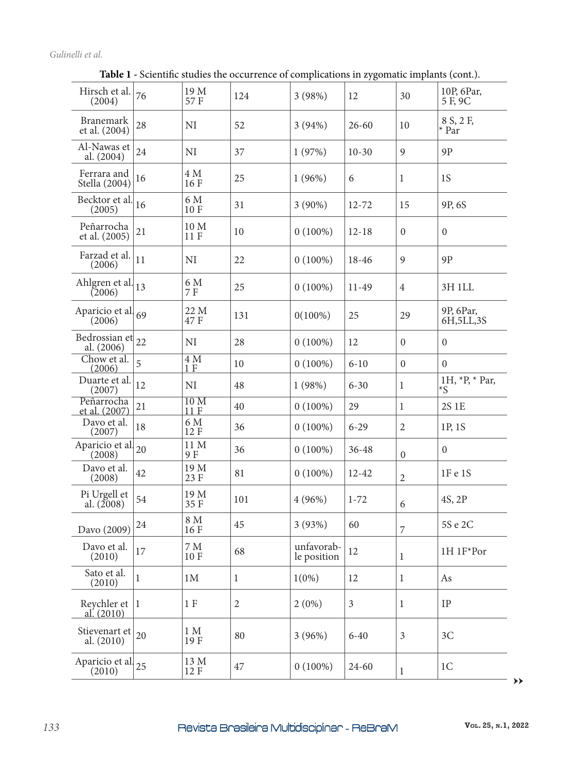## *Gulinelli et al.*

| Hirsch et al.<br>(2004)           | 76           | 19 M<br>57 F           | 124          | 3(98%)                    | 12             | 30               | 10P, 6Par,<br>5 F, 9C     |
|-----------------------------------|--------------|------------------------|--------------|---------------------------|----------------|------------------|---------------------------|
| <b>Branemark</b><br>et al. (2004) | 28           | NI                     | 52           | 3(94%)                    | $26 - 60$      | 10               | 8 S, 2 F,<br>* Par        |
| Al-Nawas et<br>al. (2004)         | 24           | NI                     | 37           | 1(97%)                    | $10 - 30$      | 9                | 9P                        |
| Ferrara and<br>Stella (2004)      | 16           | 4 M<br>16 F            | 25           | 1(96%)                    | 6              | 1                | 1S                        |
| Becktor et al.<br>(2005)          | 16           | 6 M<br>10F             | 31           | $3(90\%)$                 | 12-72          | 15               | 9P <sub>, 6S</sub>        |
| Peñarrocha<br>et al. (2005)       | 21           | $10\,\rm M$<br>11 F    | 10           | $0(100\%)$                | $12 - 18$      | $\boldsymbol{0}$ | $\boldsymbol{0}$          |
| Farzad et al.<br>(2006)           | 11           | NI                     | 22           | $0(100\%)$                | 18-46          | 9                | 9P                        |
| Ahlgren et al.<br>(2006)          | 13           | 6 M<br>7 F             | 25           | $0(100\%)$                | 11-49          | $\overline{4}$   | 3H 1LL                    |
| Aparicio et al 69<br>(2006)       |              | 22 M<br>47 F           | 131          | $0(100\%)$                | 25             | 29               | 9P, 6Par,<br>6H, 5LL, 3S  |
| Bedrossian et<br>al. (2006)       | 22           | NI                     | 28           | $0(100\%)$                | 12             | $\boldsymbol{0}$ | $\overline{0}$            |
| Chow et al.<br>(2006)             | 5            | 4 M<br>1F              | 10           | $0(100\%)$                | $6 - 10$       | $\boldsymbol{0}$ | $\boldsymbol{0}$          |
| Duarte et al.<br>(2007)           | 12           | NI                     | 48           | 1(98%)                    | $6 - 30$       | 1                | 1H, $*P$ , $*Par$ ,<br>*S |
| Peñarrocha<br>et al. (2007)       | 21           | 10 <sub>M</sub><br>11F | 40           | $0(100\%)$                | 29             | $\mathbf{1}$     | 2S 1E                     |
| Davo et al.<br>(2007)             | 18           | 6 M<br>12 F            | 36           | $0(100\%)$                | $6 - 29$       | $\overline{2}$   | 1P, 1S                    |
| Aparicio et al.<br>(2008)         | 20           | 11 M<br>9 F            | 36           | $0(100\%)$                | 36-48          | $\boldsymbol{0}$ | $\mathbf{0}$              |
| Davo et al.<br>(2008)             | 42           | 19 M<br>23 F           | 81           | $0(100\%)$                | $12 - 42$      | $\sqrt{2}$       | 1F e 1S                   |
| Pi Urgell et<br>al. $(2008)$      | 54           | 19 M<br>35 F           | 101          | 4 (96%)                   | $1 - 72$       | 6                | 4S, 2P                    |
| Davo (2009)                       | 24           | 8 M<br>16 F            | 45           | 3(93%)                    | 60             | 7                | 5S e 2C                   |
| Davo et al.<br>(2010)             | 17           | $7\,\rm M$<br>10F      | 68           | unfavorab-<br>le position | 12             | 1                | 1H 1F*Por                 |
| Sato et al.<br>(2010)             | $\mathbf{1}$ | 1M                     | $\mathbf{1}$ | $1(0\%)$                  | 12             | $\mathbf{1}$     | As                        |
| Reychler et $ 1$<br>al. $(2010)$  |              | 1F                     | $\mathbf{2}$ | 2(0%)                     | $\mathfrak{Z}$ | $\mathbf{1}$     | IP                        |
| Stievenart et<br>al. $(2010)$     | 20           | 1 M<br>19 F            | 80           | 3(96%)                    | $6 - 40$       | $\mathfrak{Z}$   | 3C                        |
| Aparicio et al 25<br>(2010)       |              | 13 M<br>12 F           | 47           | $0(100\%)$                | 24-60          | $\mathbf 1$      | 1 <sup>C</sup>            |

**Table 1 -** Scientific studies the occurrence of complications in zygomatic implants (cont.).

**→→**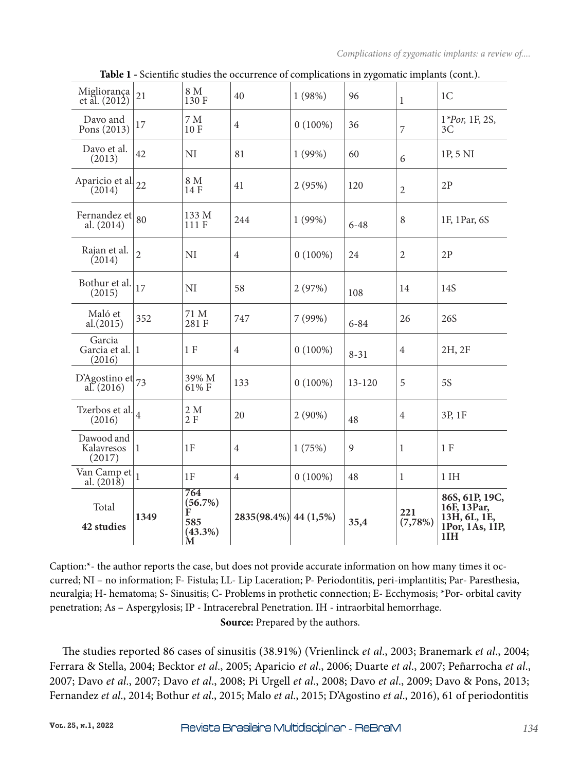| Migliorança<br>et al. $(201\dot{2})$  | 21             | 8 M<br>130 F                                  | 40                    | 1(98%)     | 96           | $\mathbf{1}$   | 1 <sup>C</sup>                                                             |
|---------------------------------------|----------------|-----------------------------------------------|-----------------------|------------|--------------|----------------|----------------------------------------------------------------------------|
| Davo and<br>Pons (2013)               | 17             | 7 M<br>10F                                    | $\overline{4}$        | $0(100\%)$ | 36           | $\overline{7}$ | 1*Por, 1F, 2S,<br>3C                                                       |
| Davo et al.<br>(2013)                 | 42             | NI                                            | 81                    | 1(99%)     | 60           | 6              | 1P, 5 NI                                                                   |
| Aparicio et al.<br>(2014)             | 22             | 8 M<br>14 F                                   | 41                    | 2(95%)     | 120          | $\overline{2}$ | 2P                                                                         |
| Fernandez et<br>al. (2014)            | 80             | 133 M<br>111 F                                | 244                   | 1(99%)     | $6 - 48$     | $\,8\,$        | 1F, 1Par, 6S                                                               |
| Rajan et al.<br>(2014)                | $\overline{2}$ | NI                                            | $\overline{4}$        | $0(100\%)$ | 24           | $\overline{2}$ | 2P                                                                         |
| Bothur et al.<br>(2015)               | 17             | NI                                            | 58                    | 2(97%)     | 108          | 14             | 14S                                                                        |
| Maló et<br>al.(2015)                  | 352            | 71 M<br>281 F                                 | 747                   | 7 (99%)    | $6 - 84$     | 26             | 26S                                                                        |
| Garcia<br>Garcia et al. 1<br>(2016)   |                | 1 F                                           | $\overline{4}$        | $0(100\%)$ | $8 - 31$     | $\overline{4}$ | 2H, 2F                                                                     |
| D'Agostino et $_{73}$<br>al. $(2016)$ |                | 39% M<br>61% F                                | 133                   | $0(100\%)$ | $13 - 120$   | 5              | <b>5S</b>                                                                  |
| Tzerbos et al. $\vert_4$<br>(2016)    |                | 2 M<br>2F                                     | 20                    | $2(90\%)$  | 48           | $\overline{4}$ | 3P, 1F                                                                     |
| Dawood and<br>Kalavresos<br>(2017)    | 1              | 1F                                            | $\overline{4}$        | 1(75%)     | $\mathbf{9}$ | $\mathbf{1}$   | 1F                                                                         |
| Van Camp et<br>al. $(2018)$           | $\mathbf{1}$   | 1F                                            | $\overline{4}$        | $0(100\%)$ | 48           | 1              | $1$ IH                                                                     |
| Total<br>42 studies                   | 1349           | 764<br>(56.7%)<br>F<br>585<br>$(43.3\%)$<br>M | 2835(98.4%) 44 (1,5%) |            | 35,4         | 221<br>(7,78%) | 86S, 61P, 19C,<br>16F, 13Par,<br>13H, 6L, 1E,<br>1Por, 1As, 1IP,<br>$1$ IH |

**Table 1 -** Scientific studies the occurrence of complications in zygomatic implants (cont.).

Caption:\*- the author reports the case, but does not provide accurate information on how many times it occurred; NI – no information; F- Fistula; LL- Lip Laceration; P- Periodontitis, peri-implantitis; Par- Paresthesia, neuralgia; H- hematoma; S- Sinusitis; C- Problems in prothetic connection; E- Ecchymosis; \*Por- orbital cavity penetration; As – Aspergylosis; IP - Intracerebral Penetration. IH - intraorbital hemorrhage. **Source:** Prepared by the authors.

The studies reported 86 cases of sinusitis (38.91%) (Vrienlinck *et al*., 2003; Branemark *et al*., 2004; Ferrara & Stella, 2004; Becktor *et al*., 2005; Aparicio *et al*., 2006; Duarte *et al*., 2007; Peñarrocha *et al*., 2007; Davo *et al*., 2007; Davo *et al*., 2008; Pi Urgell *et al*., 2008; Davo *et al*., 2009; Davo & Pons, 2013; Fernandez *et al*., 2014; Bothur *et al*., 2015; Malo *et al*., 2015; D'Agostino *et al*., 2016), 61 of periodontitis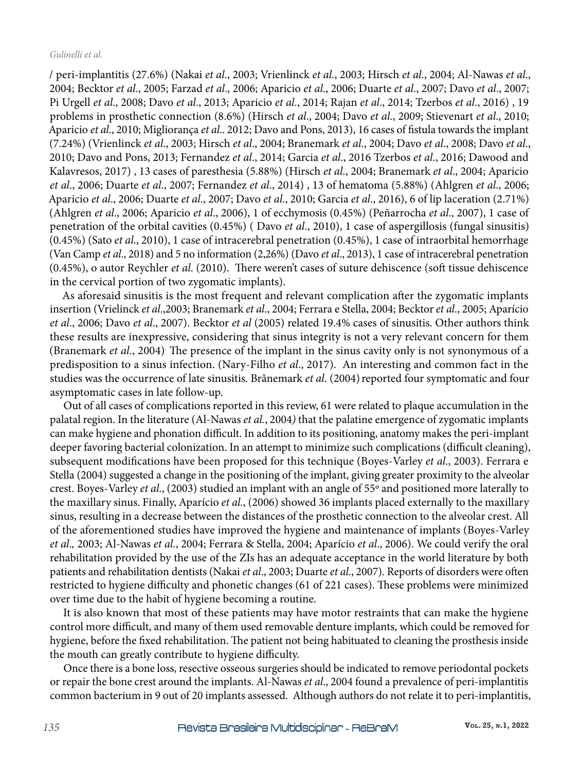/ peri-implantitis (27.6%) (Nakai *et al*., 2003; Vrienlinck *et al*., 2003; Hirsch *et al*., 2004; Al-Nawas *et al*., 2004; Becktor *et al*., 2005; Farzad *et al*., 2006; Aparicio *et al*., 2006; Duarte *et al*., 2007; Davo *et al*., 2007; Pi Urgell *et al*., 2008; Davo *et al*., 2013; Aparicio *et al*., 2014; Rajan *et al*., 2014; Tzerbos *et al*., 2016) , 19 problems in prosthetic connection (8.6%) (Hirsch *et al*., 2004; Davo *et al*., 2009; Stievenart *et al*., 2010; Aparicio *et al*., 2010; Migliorança *et al*.. 2012; Davo and Pons, 2013), 16 cases of fistula towards the implant (7.24%) (Vrienlinck *et al*., 2003; Hirsch *et al*., 2004; Branemark *et al*., 2004; Davo *et al*., 2008; Davo *et al*., 2010; Davo and Pons, 2013; Fernandez *et al*., 2014; Garcia *et al*., 2016 Tzerbos *et al*., 2016; Dawood and Kalavresos, 2017) , 13 cases of paresthesia (5.88%) (Hirsch *et al*., 2004; Branemark *et al*., 2004; Aparicio *et al*., 2006; Duarte *et al*., 2007; Fernandez *et al*., 2014) , 13 of hematoma (5.88%) (Ahlgren *et al*., 2006; Aparicio *et al*., 2006; Duarte *et al*., 2007; Davo *et al*., 2010; Garcia *et al*., 2016), 6 of lip laceration (2.71%) (Ahlgren *et al*., 2006; Aparicio *et al*., 2006), 1 of ecchymosis (0.45%) (Peñarrocha *et al*., 2007), 1 case of penetration of the orbital cavities (0.45%) ( Davo *et al*., 2010), 1 case of aspergillosis (fungal sinusitis) (0.45%) (Sato *et al*., 2010), 1 case of intracerebral penetration (0.45%), 1 case of intraorbital hemorrhage (Van Camp *et al*., 2018) and 5 no information (2,26%) (Davo *et al*., 2013), 1 case of intracerebral penetration (0.45%), o autor Reychler *et al*. (2010). There weren't cases of suture dehiscence (soft tissue dehiscence in the cervical portion of two zygomatic implants).

As aforesaid sinusitis is the most frequent and relevant complication after the zygomatic implants insertion (Vrielinck *et al*.,2003; Branemark *et al*., 2004; Ferrara e Stella, 2004; Becktor *et al*., 2005; Aparício *et al*., 2006; Davo *et al*., 2007). Becktor *et al* (2005) related 19.4% cases of sinusitis. Other authors think these results are inexpressive, considering that sinus integrity is not a very relevant concern for them (Branemark *et al.*, 2004) The presence of the implant in the sinus cavity only is not synonymous of a predisposition to a sinus infection. (Nary-Filho *et al*., 2017). An interesting and common fact in the studies was the occurrence of late sinusitis. Brånemark *et al.* (2004) reported four symptomatic and four asymptomatic cases in late follow-up.

Out of all cases of complications reported in this review, 61 were related to plaque accumulation in the palatal region. In the literature (Al-Nawas *et al.*, 2004*)* that the palatine emergence of zygomatic implants can make hygiene and phonation difficult. In addition to its positioning, anatomy makes the peri-implant deeper favoring bacterial colonization. In an attempt to minimize such complications (difficult cleaning), subsequent modifications have been proposed for this technique (Boyes-Varley *et al*., 2003). Ferrara e Stella (2004) suggested a change in the positioning of the implant, giving greater proximity to the alveolar crest. Boyes-Varley *et al*., (2003) studied an implant with an angle of 55º and positioned more laterally to the maxillary sinus. Finally, Aparício *et al*., (2006) showed 36 implants placed externally to the maxillary sinus, resulting in a decrease between the distances of the prosthetic connection to the alveolar crest. All of the aforementioned studies have improved the hygiene and maintenance of implants (Boyes-Varley *et al*.*,* 2003; Al-Nawas *et al.*, 2004; Ferrara & Stella, 2004; Aparício *et al*., 2006). We could verify the oral rehabilitation provided by the use of the ZIs has an adequate acceptance in the world literature by both patients and rehabilitation dentists (Nakai *et al*., 2003; Duarte *et al*., 2007). Reports of disorders were often restricted to hygiene difficulty and phonetic changes (61 of 221 cases). These problems were minimized over time due to the habit of hygiene becoming a routine.

It is also known that most of these patients may have motor restraints that can make the hygiene control more difficult, and many of them used removable denture implants, which could be removed for hygiene, before the fixed rehabilitation. The patient not being habituated to cleaning the prosthesis inside the mouth can greatly contribute to hygiene difficulty.

Once there is a bone loss, resective osseous surgeries should be indicated to remove periodontal pockets or repair the bone crest around the implants. Al-Nawas *et al*., 2004 found a prevalence of peri-implantitis common bacterium in 9 out of 20 implants assessed. Although authors do not relate it to peri-implantitis,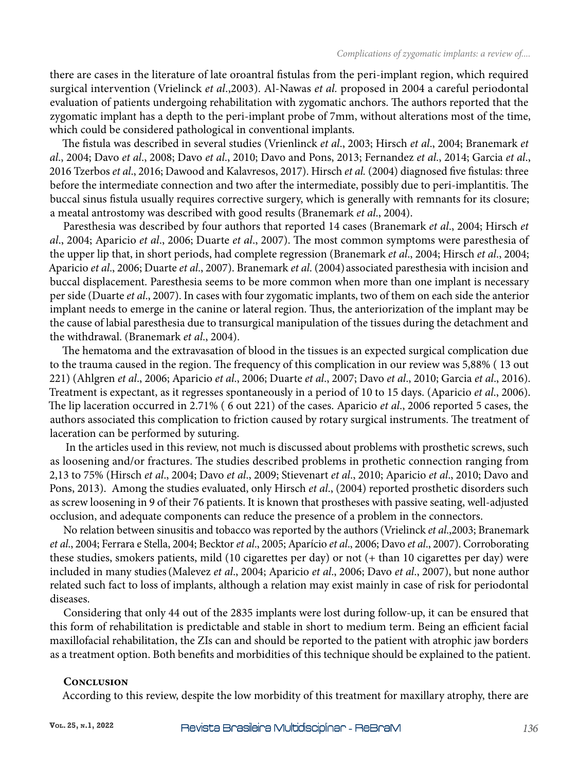there are cases in the literature of late oroantral fistulas from the peri-implant region, which required surgical intervention (Vrielinck *et al*.,2003). Al-Nawas *et al.* proposed in 2004 a careful periodontal evaluation of patients undergoing rehabilitation with zygomatic anchors. The authors reported that the zygomatic implant has a depth to the peri-implant probe of 7mm, without alterations most of the time, which could be considered pathological in conventional implants.

The fistula was described in several studies (Vrienlinck *et al*., 2003; Hirsch *et al*., 2004; Branemark *et al*., 2004; Davo *et al*., 2008; Davo *et al*., 2010; Davo and Pons, 2013; Fernandez *et al*., 2014; Garcia *et al*., 2016 Tzerbos *et al*., 2016; Dawood and Kalavresos, 2017). Hirsch *et al.* (2004) diagnosed five fistulas: three before the intermediate connection and two after the intermediate, possibly due to peri-implantitis. The buccal sinus fistula usually requires corrective surgery, which is generally with remnants for its closure; a meatal antrostomy was described with good results (Branemark *et al*., 2004).

Paresthesia was described by four authors that reported 14 cases (Branemark *et al*., 2004; Hirsch *et al*., 2004; Aparicio *et al*., 2006; Duarte *et al*., 2007). The most common symptoms were paresthesia of the upper lip that, in short periods, had complete regression (Branemark *et al*., 2004; Hirsch *et al*., 2004; Aparicio *et al*., 2006; Duarte *et al*., 2007). Branemark *et al*. (2004) associated paresthesia with incision and buccal displacement. Paresthesia seems to be more common when more than one implant is necessary per side (Duarte *et al*., 2007). In cases with four zygomatic implants, two of them on each side the anterior implant needs to emerge in the canine or lateral region. Thus, the anteriorization of the implant may be the cause of labial paresthesia due to transurgical manipulation of the tissues during the detachment and the withdrawal. (Branemark *et al*., 2004).

The hematoma and the extravasation of blood in the tissues is an expected surgical complication due to the trauma caused in the region. The frequency of this complication in our review was 5,88% ( 13 out 221) (Ahlgren *et al*., 2006; Aparicio *et al*., 2006; Duarte *et al*., 2007; Davo *et al*., 2010; Garcia *et al*., 2016). Treatment is expectant, as it regresses spontaneously in a period of 10 to 15 days. (Aparicio *et al*., 2006). The lip laceration occurred in 2.71% ( 6 out 221) of the cases. Aparicio *et al*., 2006 reported 5 cases, the authors associated this complication to friction caused by rotary surgical instruments. The treatment of laceration can be performed by suturing.

 In the articles used in this review, not much is discussed about problems with prosthetic screws, such as loosening and/or fractures. The studies described problems in prothetic connection ranging from 2,13 to 75% (Hirsch *et al*., 2004; Davo *et al*., 2009; Stievenart *et al*., 2010; Aparicio *et al*., 2010; Davo and Pons, 2013). Among the studies evaluated, only Hirsch *et al*., (2004) reported prosthetic disorders such as screw loosening in 9 of their 76 patients. It is known that prostheses with passive seating, well-adjusted occlusion, and adequate components can reduce the presence of a problem in the connectors.

No relation between sinusitis and tobacco was reported by the authors (Vrielinck *et al*.,2003; Branemark *et al*., 2004; Ferrara e Stella, 2004; Becktor *et al*., 2005; Aparício *et al*., 2006; Davo *et al*., 2007). Corroborating these studies, smokers patients, mild (10 cigarettes per day) or not (+ than 10 cigarettes per day) were included in many studies(Malevez *et al*., 2004; Aparicio *et al*., 2006; Davo *et al*., 2007), but none author related such fact to loss of implants, although a relation may exist mainly in case of risk for periodontal diseases.

Considering that only 44 out of the 2835 implants were lost during follow-up, it can be ensured that this form of rehabilitation is predictable and stable in short to medium term. Being an efficient facial maxillofacial rehabilitation, the ZIs can and should be reported to the patient with atrophic jaw borders as a treatment option. Both benefits and morbidities of this technique should be explained to the patient.

## **Conclusion**

According to this review, despite the low morbidity of this treatment for maxillary atrophy, there are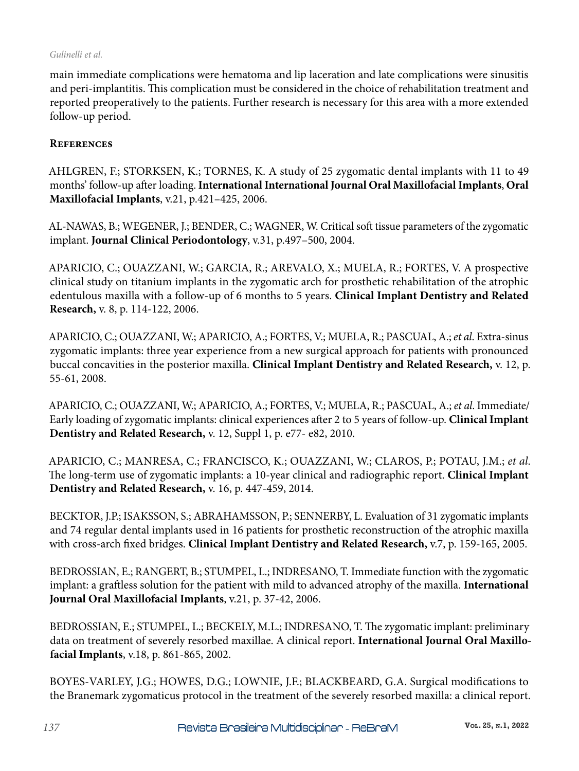#### *Gulinelli et al.*

main immediate complications were hematoma and lip laceration and late complications were sinusitis and peri-implantitis. This complication must be considered in the choice of rehabilitation treatment and reported preoperatively to the patients. Further research is necessary for this area with a more extended follow-up period.

## **References**

AHLGREN, F.; STORKSEN, K.; TORNES, K. A study of 25 zygomatic dental implants with 11 to 49 months' follow-up after loading. **International International Journal Oral Maxillofacial Implants**, **Oral Maxillofacial Implants**, v.21, p.421–425, 2006.

AL-NAWAS, B.; WEGENER, J.; BENDER, C.; WAGNER, W. Critical soft tissue parameters of the zygomatic implant. **Journal Clinical Periodontology**, v.31, p.497–500, 2004.

APARICIO, C.; OUAZZANI, W.; GARCIA, R.; AREVALO, X.; MUELA, R.; FORTES, V. A prospective clinical study on titanium implants in the zygomatic arch for prosthetic rehabilitation of the atrophic edentulous maxilla with a follow-up of 6 months to 5 years. **Clinical Implant Dentistry and Related Research,** v. 8, p. 114-122, 2006.

APARICIO, C.; OUAZZANI, W.; APARICIO, A.; FORTES, V.; MUELA, R.; PASCUAL, A.; *et al*. Extra-sinus zygomatic implants: three year experience from a new surgical approach for patients with pronounced buccal concavities in the posterior maxilla. **Clinical Implant Dentistry and Related Research,** v. 12, p. 55-61, 2008.

APARICIO, C.; OUAZZANI, W.; APARICIO, A.; FORTES, V.; MUELA, R.; PASCUAL, A.; *et al*. Immediate/ Early loading of zygomatic implants: clinical experiences after 2 to 5 years of follow-up. **Clinical Implant Dentistry and Related Research,** v. 12, Suppl 1, p. e77- e82, 2010.

APARICIO, C.; MANRESA, C.; FRANCISCO, K.; OUAZZANI, W.; CLAROS, P.; POTAU, J.M.; *et al*. The long-term use of zygomatic implants: a 10-year clinical and radiographic report. **Clinical Implant Dentistry and Related Research,** v. 16, p. 447-459, 2014.

BECKTOR, J.P.; ISAKSSON, S.; ABRAHAMSSON, P.; SENNERBY, L. Evaluation of 31 zygomatic implants and 74 regular dental implants used in 16 patients for prosthetic reconstruction of the atrophic maxilla with cross-arch fixed bridges. **Clinical Implant Dentistry and Related Research,** v.7, p. 159-165, 2005.

BEDROSSIAN, E.; RANGERT, B.; STUMPEL, L.; INDRESANO, T. Immediate function with the zygomatic implant: a graftless solution for the patient with mild to advanced atrophy of the maxilla. **International Journal Oral Maxillofacial Implants**, v.21, p. 37-42, 2006.

BEDROSSIAN, E.; STUMPEL, L.; BECKELY, M.L.; INDRESANO, T. The zygomatic implant: preliminary data on treatment of severely resorbed maxillae. A clinical report. **International Journal Oral Maxillofacial Implants**, v.18, p. 861-865, 2002.

BOYES-VARLEY, J.G.; HOWES, D.G.; LOWNIE, J.F.; BLACKBEARD, G.A. Surgical modifications to the Branemark zygomaticus protocol in the treatment of the severely resorbed maxilla: a clinical report.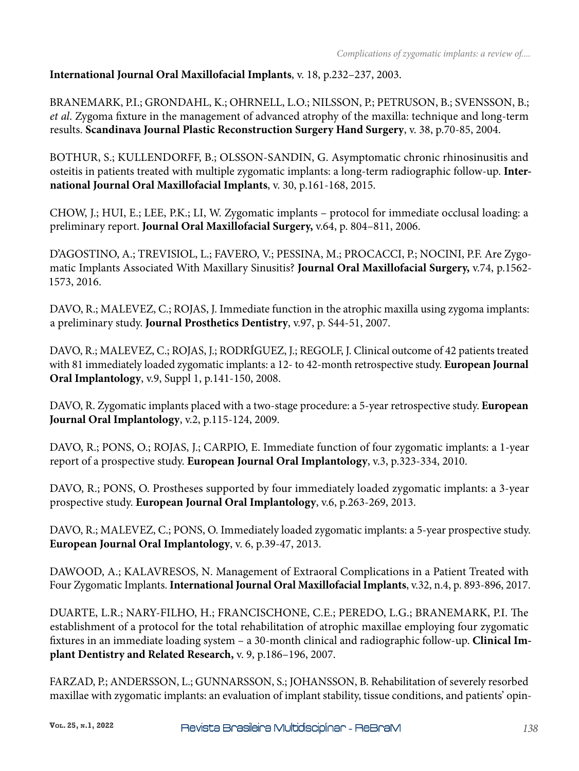## **International Journal Oral Maxillofacial Implants**, v. 18, p.232–237, 2003.

BRANEMARK, P.I.; GRONDAHL, K.; OHRNELL, L.O.; NILSSON, P.; PETRUSON, B.; SVENSSON, B.; *et al*. Zygoma fixture in the management of advanced atrophy of the maxilla: technique and long-term results. **Scandinava Journal Plastic Reconstruction Surgery Hand Surgery**, v. 38, p.70-85, 2004.

BOTHUR, S.; KULLENDORFF, B.; OLSSON-SANDIN, G. Asymptomatic chronic rhinosinusitis and osteitis in patients treated with multiple zygomatic implants: a long-term radiographic follow-up. **International Journal Oral Maxillofacial Implants**, v. 30, p.161-168, 2015.

CHOW, J.; HUI, E.; LEE, P.K.; LI, W. Zygomatic implants – protocol for immediate occlusal loading: a preliminary report. **Journal Oral Maxillofacial Surgery,** v.64, p. 804–811, 2006.

D'AGOSTINO, A.; TREVISIOL, L.; FAVERO, V.; PESSINA, M.; PROCACCI, P.; NOCINI, P.F. Are Zygomatic Implants Associated With Maxillary Sinusitis? **Journal Oral Maxillofacial Surgery,** v.74, p.1562- 1573, 2016.

DAVO, R.; MALEVEZ, C.; ROJAS, J. Immediate function in the atrophic maxilla using zygoma implants: a preliminary study. **Journal Prosthetics Dentistry**, v.97, p. S44-51, 2007.

DAVO, R.; MALEVEZ, C.; ROJAS, J.; RODRÍGUEZ, J.; REGOLF, J. Clinical outcome of 42 patients treated with 81 immediately loaded zygomatic implants: a 12- to 42-month retrospective study. **European Journal Oral Implantology**, v.9, Suppl 1, p.141-150, 2008.

DAVO, R. Zygomatic implants placed with a two-stage procedure: a 5-year retrospective study. **European Journal Oral Implantology**, v.2, p.115-124, 2009.

DAVO, R.; PONS, O.; ROJAS, J.; CARPIO, E. Immediate function of four zygomatic implants: a 1-year report of a prospective study. **European Journal Oral Implantology**, v.3, p.323-334, 2010.

DAVO, R.; PONS, O. Prostheses supported by four immediately loaded zygomatic implants: a 3-year prospective study. **European Journal Oral Implantology**, v.6, p.263-269, 2013.

DAVO, R.; MALEVEZ, C.; PONS, O. Immediately loaded zygomatic implants: a 5-year prospective study. **European Journal Oral Implantology**, v. 6, p.39-47, 2013.

DAWOOD, A.; KALAVRESOS, N. Management of Extraoral Complications in a Patient Treated with Four Zygomatic Implants. **International Journal Oral Maxillofacial Implants**, v.32, n.4, p. 893-896, 2017.

DUARTE, L.R.; NARY-FILHO, H.; FRANCISCHONE, C.E.; PEREDO, L.G.; BRANEMARK, P.I. The establishment of a protocol for the total rehabilitation of atrophic maxillae employing four zygomatic fixtures in an immediate loading system – a 30-month clinical and radiographic follow-up. **Clinical Implant Dentistry and Related Research,** v. 9, p.186–196, 2007.

FARZAD, P.; ANDERSSON, L.; GUNNARSSON, S.; JOHANSSON, B. Rehabilitation of severely resorbed maxillae with zygomatic implants: an evaluation of implant stability, tissue conditions, and patients' opin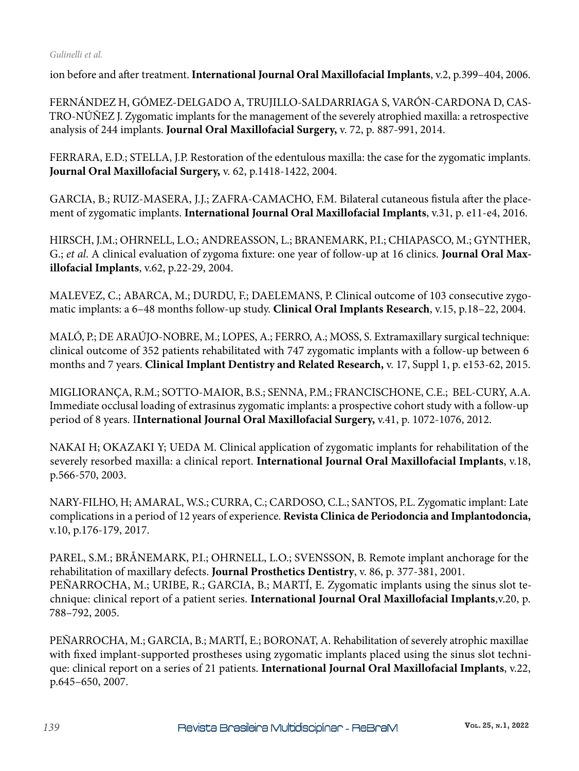ion before and after treatment. **International Journal Oral Maxillofacial Implants**, v.2, p.399–404, 2006.

FERNÁNDEZ H, GÓMEZ-DELGADO A, TRUJILLO-SALDARRIAGA S, VARÓN-CARDONA D, CAS-TRO-NÚÑEZ J. Zygomatic implants for the management of the severely atrophied maxilla: a retrospective analysis of 244 implants. **Journal Oral Maxillofacial Surgery,** v. 72, p. 887-991, 2014.

FERRARA, E.D.; STELLA, J.P. Restoration of the edentulous maxilla: the case for the zygomatic implants. **Journal Oral Maxillofacial Surgery,** v. 62, p.1418-1422, 2004.

GARCIA, B.; RUIZ-MASERA, J.J.; ZAFRA-CAMACHO, F.M. Bilateral cutaneous fistula after the placement of zygomatic implants. **International Journal Oral Maxillofacial Implants**, v.31, p. e11-e4, 2016.

HIRSCH, J.M.; OHRNELL, L.O.; ANDREASSON, L.; BRANEMARK, P.I.; CHIAPASCO, M.; GYNTHER, G.; *et al*. A clinical evaluation of zygoma fixture: one year of follow-up at 16 clinics. **Journal Oral Maxillofacial Implants**, v.62, p.22-29, 2004.

MALEVEZ, C.; ABARCA, M.; DURDU, F.; DAELEMANS, P. Clinical outcome of 103 consecutive zygomatic implants: a 6–48 months follow-up study. **Clinical Oral Implants Research**, v.15, p.18–22, 2004.

MALÓ, P.; DE ARAÚJO-NOBRE, M.; LOPES, A.; FERRO, A.; MOSS, S. Extramaxillary surgical technique: clinical outcome of 352 patients rehabilitated with 747 zygomatic implants with a follow-up between 6 months and 7 years. **Clinical Implant Dentistry and Related Research,** v. 17, Suppl 1, p. e153-62, 2015.

MIGLIORANÇA, R.M.; SOTTO-MAIOR, B.S.; SENNA, P.M.; FRANCISCHONE, C.E.; BEL-CURY, A.A. Immediate occlusal loading of extrasinus zygomatic implants: a prospective cohort study with a follow-up period of 8 years. I**International Journal Oral Maxillofacial Surgery,** v.41, p. 1072-1076, 2012.

NAKAI H; OKAZAKI Y; UEDA M. Clinical application of zygomatic implants for rehabilitation of the severely resorbed maxilla: a clinical report. **International Journal Oral Maxillofacial Implants**, v.18, p.566-570, 2003.

NARY-FILHO, H; AMARAL, W.S.; CURRA, C.; CARDOSO, C.L.; SANTOS, P.L. Zygomatic implant: Late complications in a period of 12 years of experience. **Revista Clinica de Periodoncia and Implantodoncia,**  v.10, p.176-179, 2017.

PAREL, S.M.; BRÅNEMARK, P.I.; OHRNELL, L.O.; SVENSSON, B. Remote implant anchorage for the rehabilitation of maxillary defects. **Journal Prosthetics Dentistry**, v. 86, p. 377-381, 2001. PEÑARROCHA, M.; URIBE, R.; GARCIA, B.; MARTÍ, E. Zygomatic implants using the sinus slot technique: clinical report of a patient series. **International Journal Oral Maxillofacial Implants**,v.20, p. 788–792, 2005.

PEÑARROCHA, M.; GARCIA, B.; MARTÍ, E.; BORONAT, A. Rehabilitation of severely atrophic maxillae with fixed implant-supported prostheses using zygomatic implants placed using the sinus slot technique: clinical report on a series of 21 patients. **International Journal Oral Maxillofacial Implants**, v.22, p.645–650, 2007.